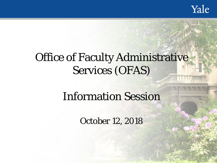# **Office of Faculty Administrative** Services (OFAS)

# Information Session

October 12, 2018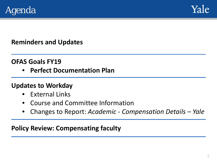



### **Reminders and Updates**

### **OFAS Goals FY19**

• **Perfect Documentation Plan**

### **Updates to Workday**

- External Links
- Course and Committee Information
- Changes to Report: *Academic - Compensation Details – Yale*

### **Policy Review: Compensating faculty**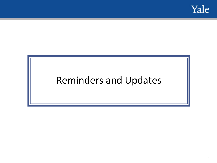

# Reminders and Updates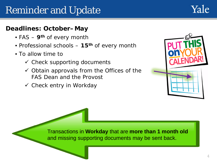# Reminder and Update

### **Deadlines: October–May**

- FAS **9th** of every month
- Professional schools **15th** of every month
- To allow time to
	- $\checkmark$  Check supporting documents
	- $\checkmark$  Obtain approvals from the Offices of the FAS Dean and the Provost
	- $\checkmark$  Check entry in Workday



Yale

Transactions in **Workday** that are **more than 1 month old**  and missing supporting documents may be sent back.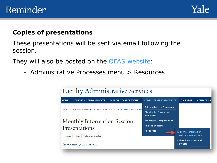### Reminder



#### **Copies of presentations**

These presentations will be sent via email following the session.

They will also be posted on the **OFAS** website:

– Administrative Processes menu > Resources

| <b>Faculty Administrative Services</b>                                             |                                            |                                                     |
|------------------------------------------------------------------------------------|--------------------------------------------|-----------------------------------------------------|
| <b>HOME</b><br><b>SEARCHES &amp; APPOINTMENTS</b><br><b>ACADEMIC CAREER EVENTS</b> | <b>ADMINISTRATIVE PROCESSES</b>            | <b>CALENDAR</b><br><b>CONTACT US</b>                |
| ADMINISTRATIVE PROCESSES > RESOURCES > MONTHLY INFORMATI<br>HOME<br>$\geq$         | <b>Administrative Processes</b>            |                                                     |
|                                                                                    | Checklists, Forms, and<br><b>Templates</b> |                                                     |
| <b>Monthly Information Session</b>                                                 | <b>Managing Compensation</b>               |                                                     |
| Presentations                                                                      | <b>Related Systems</b>                     |                                                     |
| <b>Resources</b><br>Edit<br>Manage display<br>View                                 |                                            | Monthly Information<br><b>Session Presentations</b> |
| Academic year 2017-18                                                              |                                            | Related websites and<br>contacts                    |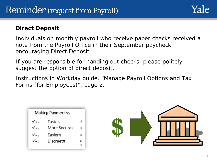#### **Direct Deposit**

Individuals on monthly payroll who receive paper checks received a note from the Payroll Office in their September paycheck encouraging Direct Deposit.

If you are responsible for handing out checks, please politely suggest the option of direct deposit.

Instructions in Workday guide, "Manage Payroll Options and Tax Forms (for Employees)", page 2.



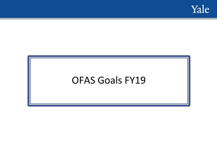

# OFAS Goals FY19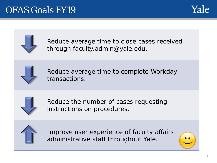## OFAS Goals FY19



| Reduce average time to close cases received<br>through faculty.admin@yale.edu.      |
|-------------------------------------------------------------------------------------|
| Reduce average time to complete Workday<br>transactions.                            |
| Reduce the number of cases requesting<br>instructions on procedures.                |
| Improve user experience of faculty affairs<br>administrative staff throughout Yale. |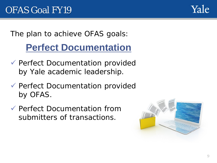

The plan to achieve OFAS goals:

# **Perfect Documentation**

- Perfect Documentation provided by Yale academic leadership.
- Perfect Documentation provided by OFAS.
- Perfect Documentation from submitters of transactions.

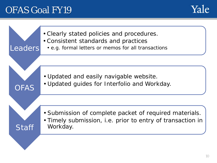## OFAS Goal FY19



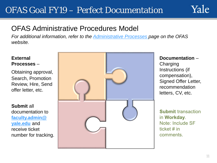### OFAS Goal FY19 – Perfect Documentation



### OFAS Administrative Procedures Model

*For additional information, refer to the [Administrative Processes p](https://facultyadmin.yale.edu/admin-processes)age on the OFAS website.*

#### **External Processes** –

Obtaining approval, Search, Promotion Review, Hire, Send offer letter, etc.

**Submit** all documentation to **[faculty.admin@](mailto:faculty.admin@yale.edu) yale.edu** and receive ticket number for tracking.



#### **Documentation** –

Charging Instructions (if compensation), Signed Offer Letter, recommendation letters, CV, etc.

**Submit transaction** in Workday. Note: Include SF ticket  $#$  in comments.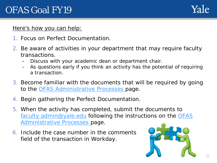#### Here's how you can help:

- 1. Focus on Perfect Documentation.
- 2. Be aware of activities in your department that may require faculty transactions.
	- Discuss with your academic dean or department chair.
	- As questions early if you think an activity has the potential of requiring a transaction.
- 3. Become familiar with the documents that will be required by going to the **OFAS Administrative Processes** page.
- 4. Begin gathering the Perfect Documentation.
- 5. When the activity has completed, submit the documents to [faculty.admin@yale.edu](mailto:faculty.admin@yale.edu) [following the instructions on the OFAS](https://facultyadmin.yale.edu/admin-processes) Administrative Processes page.
- 6. Include the case number in the comments field of the transaction in Workday.

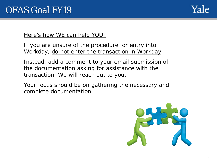

Here's how WE can help YOU:

If you are unsure of the procedure for entry into Workday, do not enter the transaction in Workday.

Instead, add a comment to your email submission of the documentation asking for assistance with the transaction. We will reach out to you.

Your focus should be on gathering the necessary and complete documentation.

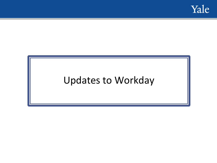

# Updates to Workday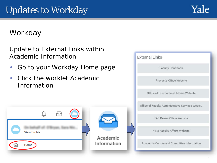

### **Workday**

Update to *External Links* within *Academic Information*

- Go to your Workday Home page
- Click the worklet Academic Information



**External Links** 

Faculty Handbook

Provost's Office Website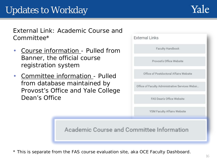External Link: *Academic Course and Committee\**

- Course information Pulled from Banner, the official course registration system
- Committee information Pulled from database maintained by Provost's Office and Yale College Dean's Office

| <b>External Links</b>                           |
|-------------------------------------------------|
| Faculty Handbook                                |
| Provost's Office Website                        |
| Office of Postdoctoral Affairs Website          |
| Office of Faculty Administrative Services Websi |
| FAS Dean's Office Website                       |
| YSM Faculty Affairs Website                     |
| Committee Information                           |

*\* This is separate from the FAS course evaluation site, aka OCE Faculty Dashboard.*

Academic Course and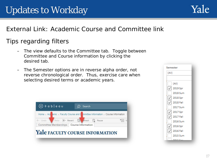# Updates to Workday



### External Link: *Academic Course and Committee link*

### Tips regarding filters

- The view defaults to the Committee tab. Toggle between Committee and Course information by clicking the desired tab.
- The Semester options are in reverse alpha order, not reverse chronological order. Thus, exercise care when selecting desired terms or academic years.



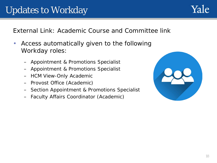### External Link: *Academic Course and Committee link*

- Access automatically given to the following Workday roles:
	- Appointment & Promotions Specialist
	- Appointment & Promotions Specialist
	- HCM View-Only Academic
	- Provost Office (Academic)
	- Section Appointment & Promotions Specialist
	- Faculty Affairs Coordinator (Academic)

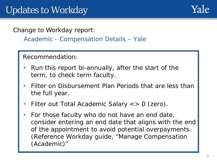Change to Workday report:

*Academic - Compensation Details – Yale*

Recommendation:

- Run this report bi-annually, after the start of the term, to check term faculty.
- Filter on Disbursement Plan Periods that are less than the full year.
- Filter out Total Academic Salary  $\lt$  > 0 (zero).
- For those faculty who do not have an end date, consider entering an end date that aligns with the end of the appointment to avoid potential overpayments. (Reference Workday guide, "*Manage Compensation (Academic)"*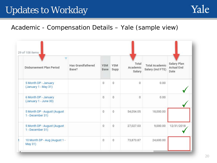# Updates to Workday



### *Academic - Compensation Details – Yale* (sample view)

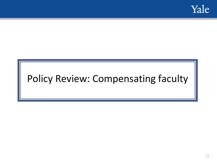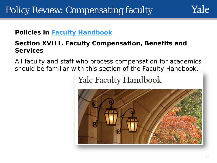

**Policies in [Faculty Handbook](https://provost.yale.edu/sites/default/files/files/Faculty%20Handbook_7-1-18.pdf)**

### **Section** *XVIII. Faculty Compensation, Benefits and Services*

All faculty and staff who process compensation for academics should be familiar with this section of the Faculty Handbook.

**Yale Faculty Handbook** 

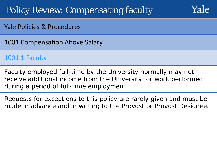

### Yale Policies & Procedures

1001 Compensation Above Salary

### [1001.1 Faculty](https://your.yale.edu/policies-procedures/policies/1001-compensation-above-salary#1001.1)

Faculty employed full-time by the University normally may not receive additional income from the University for work performed during a period of full-time employment.

Requests for exceptions to this policy are rarely given and must be made in advance and in writing to the Provost or Provost Designee.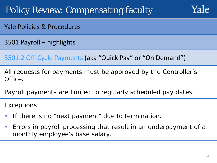

- Yale Policies & Procedures
- 3501 Payroll highlights

[3501.2 Off-Cycle Payments \(](https://your.yale.edu/policies-procedures/policies/3501-payroll#3501.2)aka "Quick Pay" or "On Demand")

All requests for payments must be approved by the Controller's Office.

Payroll payments are limited to regularly scheduled pay dates.

Exceptions:

- If there is no "next payment" due to termination.
- Errors in payroll processing that result in an underpayment of a monthly employee's base salary.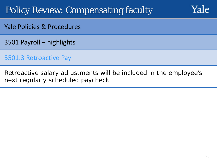

- Yale Policies & Procedures
- 3501 Payroll highlights
- [3501.3 Retroactive Pay](https://your.yale.edu/policies-procedures/policies/3501-payroll#3501.3)
- Retroactive salary adjustments will be included in the employee's next regularly scheduled paycheck.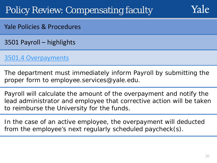

- Yale Policies & Procedures
- 3501 Payroll highlights

### 3501.4 [Overpayments](https://your.yale.edu/policies-procedures/policies/3501-payroll#3501.4)

- The department must immediately inform Payroll by submitting the proper form to employee.services@yale.edu.
- Payroll will calculate the amount of the overpayment and notify the lead administrator and employee that corrective action will be taken to reimburse the University for the funds.
- In the case of an active employee, the overpayment will deducted from the employee's next regularly scheduled paycheck(s).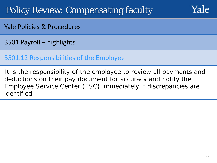

Yale Policies & Procedures

3501 Payroll – highlights

### [3501.12 Responsibilities of the](https://your.yale.edu/policies-procedures/policies/3501-payroll#3501.12) Employee

It is the responsibility of the employee to review all payments and deductions on their pay document for accuracy and notify the Employee Service Center (ESC) immediately if discrepancies are identified.